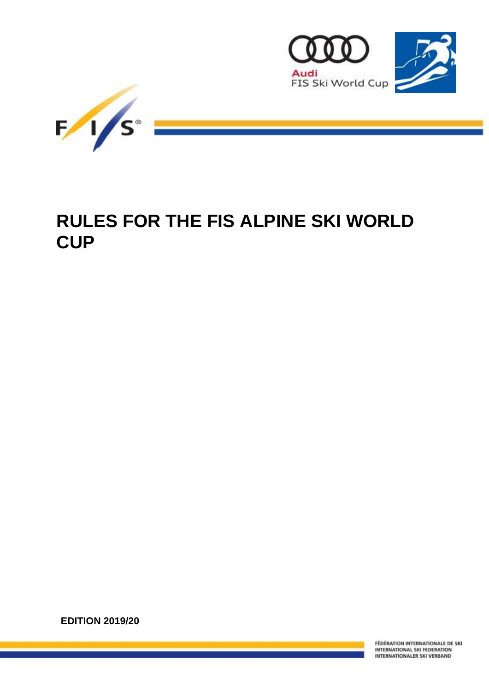



# **RULES FOR THE FIS ALPINE SKI WORLD CUP**

**EDITION 2019/20**

FÉDÉRATION INTERNATIONALE DE SKI INTERNATIONAL SKI FEDERATION INTERNATIONALER SKI VERBAND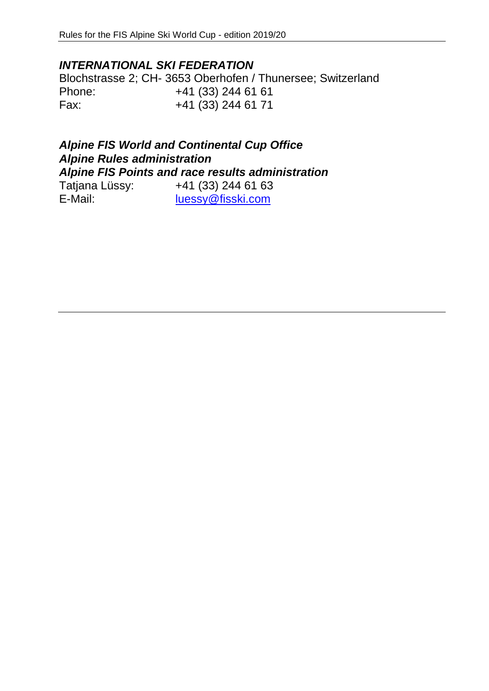# *INTERNATIONAL SKI FEDERATION*

Blochstrasse 2; CH- 3653 Oberhofen / Thunersee; Switzerland Phone: +41 (33) 244 61 61 Fax: +41 (33) 244 61 71

# *Alpine FIS World and Continental Cup Office Alpine Rules administration Alpine FIS Points and race results administration*

| Tatjana Lüssy: | +41 (33) 244 61 63 |
|----------------|--------------------|
| E-Mail:        | luessy@fisski.com  |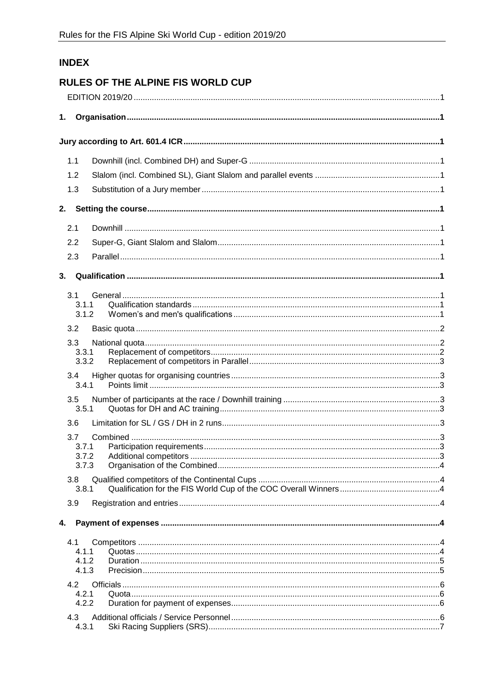# **INDEX**

# **RULES OF THE ALPINE FIS WORLD CUP**

| 1. |                |  |
|----|----------------|--|
|    |                |  |
|    |                |  |
|    | 1.1            |  |
|    | 1.2            |  |
|    | 1.3            |  |
| 2. |                |  |
|    | 2.1            |  |
|    | 2.2            |  |
|    | 2.3            |  |
| 3. |                |  |
|    |                |  |
|    | 3.1<br>3.1.1   |  |
|    | 3.1.2          |  |
|    | 3.2            |  |
|    | 3.3            |  |
|    | 3.3.1<br>3.3.2 |  |
|    | 3.4            |  |
|    | 3.4.1          |  |
|    | 3.5<br>3.5.1   |  |
|    | 3.6            |  |
|    | 3.7            |  |
|    | 3.7.1          |  |
|    | 3.7.3          |  |
|    | 3.8<br>3.8.1   |  |
|    | 3.9            |  |
|    |                |  |
| 4. |                |  |
|    | 4.1            |  |
|    | 4.1.1<br>4.1.2 |  |
|    | 4.1.3          |  |
|    | 4.2            |  |
|    | 4.2.1<br>4.2.2 |  |
|    | 4.3            |  |
|    | 4.3.1          |  |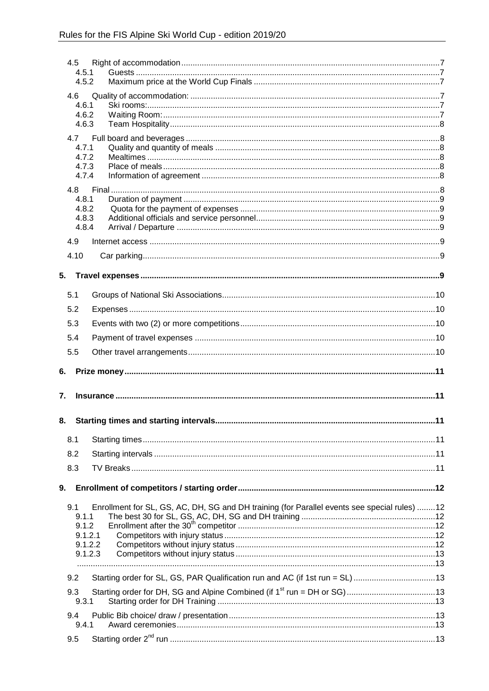| 4.5  | 4.5.1<br>4.5.2                                                                                                                                  |  |
|------|-------------------------------------------------------------------------------------------------------------------------------------------------|--|
| 4.6  | 4.6.1                                                                                                                                           |  |
|      | 4.6.2<br>4.6.3                                                                                                                                  |  |
| 4.7  | 4.7.1                                                                                                                                           |  |
|      | 4.7.2<br>4.7.3<br>4.7.4                                                                                                                         |  |
|      |                                                                                                                                                 |  |
|      | 4.8.1<br>4.8.2<br>4.8.3<br>4.8.4                                                                                                                |  |
| 4.9  |                                                                                                                                                 |  |
| 4.10 |                                                                                                                                                 |  |
| 5.   |                                                                                                                                                 |  |
| 5.1  |                                                                                                                                                 |  |
| 5.2  |                                                                                                                                                 |  |
| 5.3  |                                                                                                                                                 |  |
| 5.4  |                                                                                                                                                 |  |
| 5.5  |                                                                                                                                                 |  |
| 6.   |                                                                                                                                                 |  |
| 7.   |                                                                                                                                                 |  |
| 8.   |                                                                                                                                                 |  |
| 8.1  |                                                                                                                                                 |  |
| 8.2  |                                                                                                                                                 |  |
| 8.3  |                                                                                                                                                 |  |
| 9.   |                                                                                                                                                 |  |
| 9.1  | Enrollment for SL, GS, AC, DH, SG and DH training (for Parallel events see special rules) 12<br>9.1.1<br>9.1.2<br>9.1.2.1<br>9.1.2.2<br>9.1.2.3 |  |
|      |                                                                                                                                                 |  |
| 9.2  | Starting order for SL, GS, PAR Qualification run and AC (if 1st run = SL) 13                                                                    |  |
| 9.3  | 9.3.1                                                                                                                                           |  |
| 9.4  | 9.4.1                                                                                                                                           |  |
| 9.5  |                                                                                                                                                 |  |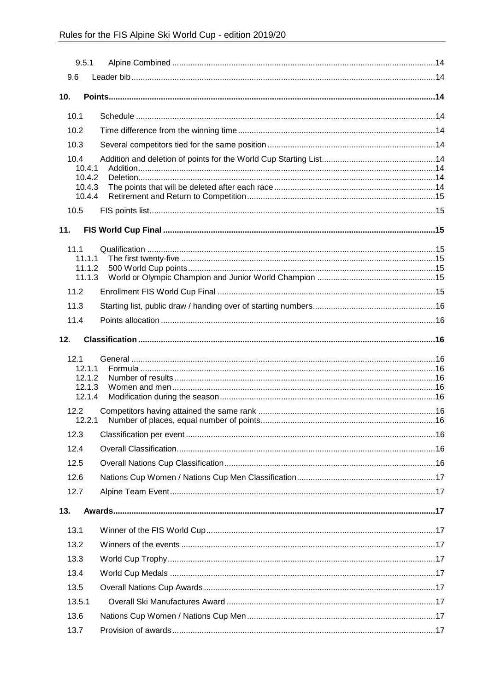| 9.5.1            |  |
|------------------|--|
| 9.6              |  |
| 10 <sub>1</sub>  |  |
|                  |  |
| 10.1             |  |
| 10.2             |  |
| 10.3             |  |
| 10.4<br>10.4.1   |  |
| 10.4.2           |  |
| 10.4.3<br>10.4.4 |  |
| 10.5             |  |
|                  |  |
| 11.              |  |
| 111              |  |
| 11.1.1<br>11.1.2 |  |
| 11.1.3           |  |
| 11.2             |  |
| 11.3             |  |
| 11.4             |  |
| 12.              |  |
|                  |  |
| 12.1<br>12.1.1   |  |
| 12.1.2           |  |
| 12.1.3<br>12.1.4 |  |
| 12.2             |  |
| 12.2.1           |  |
| 12.3             |  |
| 12.4             |  |
| 12.5             |  |
| 12.6             |  |
| 12.7             |  |
| 13.              |  |
| 13.1             |  |
| 13.2             |  |
| 13.3             |  |
| 13.4             |  |
| 13.5             |  |
| 13.5.1           |  |
| 13.6             |  |
|                  |  |
| 13.7             |  |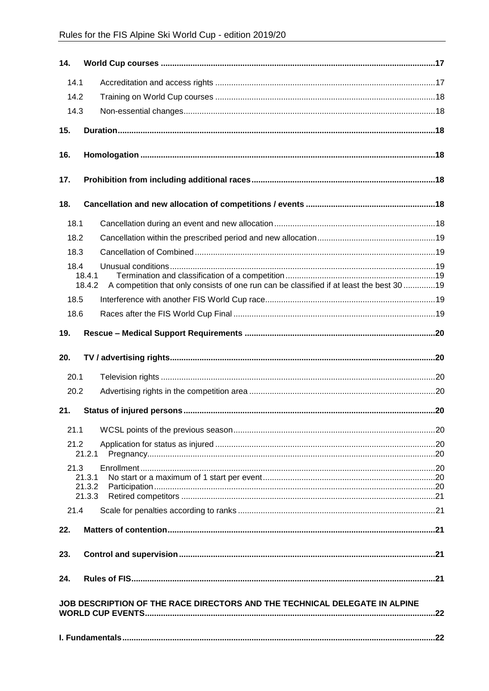| 14.  |                  |                                                                                          |  |
|------|------------------|------------------------------------------------------------------------------------------|--|
| 14.1 |                  |                                                                                          |  |
| 14.2 |                  |                                                                                          |  |
| 14.3 |                  |                                                                                          |  |
| 15.  |                  |                                                                                          |  |
| 16.  |                  |                                                                                          |  |
|      |                  |                                                                                          |  |
| 17.  |                  |                                                                                          |  |
| 18.  |                  |                                                                                          |  |
| 18.1 |                  |                                                                                          |  |
| 18.2 |                  |                                                                                          |  |
| 18.3 |                  |                                                                                          |  |
| 18.4 |                  |                                                                                          |  |
|      | 18.4.1<br>18.4.2 | A competition that only consists of one run can be classified if at least the best 30 19 |  |
| 18.5 |                  |                                                                                          |  |
| 18.6 |                  |                                                                                          |  |
|      |                  |                                                                                          |  |
| 19.  |                  |                                                                                          |  |
| 20.  |                  |                                                                                          |  |
| 20.1 |                  |                                                                                          |  |
| 20.2 |                  |                                                                                          |  |
|      |                  |                                                                                          |  |
| 21.  |                  |                                                                                          |  |
| 21.1 |                  |                                                                                          |  |
| 21.2 |                  |                                                                                          |  |
|      | 21.2.1           |                                                                                          |  |
| 21.3 |                  |                                                                                          |  |
|      | 21.3.1<br>21.3.2 |                                                                                          |  |
|      | 21.3.3           |                                                                                          |  |
| 21.4 |                  |                                                                                          |  |
| 22.  |                  |                                                                                          |  |
|      |                  |                                                                                          |  |
| 23.  |                  |                                                                                          |  |
| 24.  |                  |                                                                                          |  |
|      |                  | JOB DESCRIPTION OF THE RACE DIRECTORS AND THE TECHNICAL DELEGATE IN ALPINE               |  |
|      |                  |                                                                                          |  |
|      |                  |                                                                                          |  |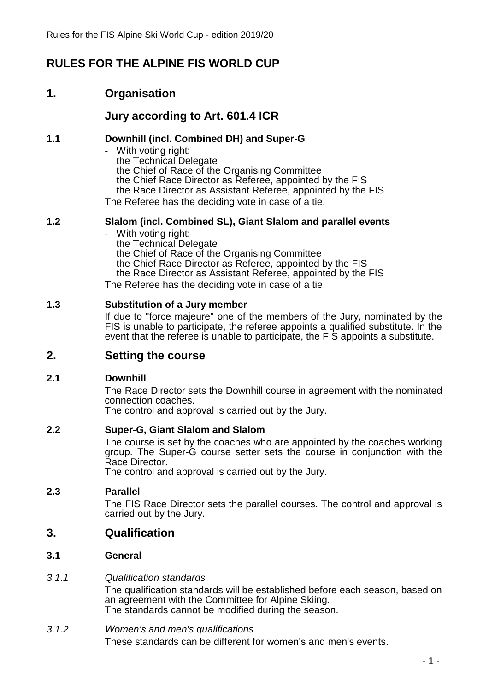# **RULES FOR THE ALPINE FIS WORLD CUP**

# **1. Organisation**

# **Jury according to Art. 601.4 ICR**

### **1.1 Downhill (incl. Combined DH) and Super-G**

- With voting right: the Technical Delegate the Chief of Race of the Organising Committee the Chief Race Director as Referee, appointed by the FIS the Race Director as Assistant Referee, appointed by the FIS The Referee has the deciding vote in case of a tie.

### **1.2 Slalom (incl. Combined SL), Giant Slalom and parallel events**

- With voting right: the Technical Delegate the Chief of Race of the Organising Committee the Chief Race Director as Referee, appointed by the FIS the Race Director as Assistant Referee, appointed by the FIS The Referee has the deciding vote in case of a tie.

### **1.3 Substitution of a Jury member**

If due to "force majeure" one of the members of the Jury, nominated by the FIS is unable to participate, the referee appoints a qualified substitute. In the event that the referee is unable to participate, the FIS appoints a substitute.

### **2. Setting the course**

### **2.1 Downhill**

The Race Director sets the Downhill course in agreement with the nominated connection coaches.

The control and approval is carried out by the Jury.

### **2.2 Super-G, Giant Slalom and Slalom**

The course is set by the coaches who are appointed by the coaches working group. The Super-G course setter sets the course in conjunction with the Race Director.

The control and approval is carried out by the Jury.

### **2.3 Parallel**

The FIS Race Director sets the parallel courses. The control and approval is carried out by the Jury.

- **3. Qualification**
- **3.1 General**
- *3.1.1 Qualification standards*

The qualification standards will be established before each season, based on an agreement with the Committee for Alpine Skiing. The standards cannot be modified during the season.

*3.1.2 Women's and men's qualifications* These standards can be different for women's and men's events.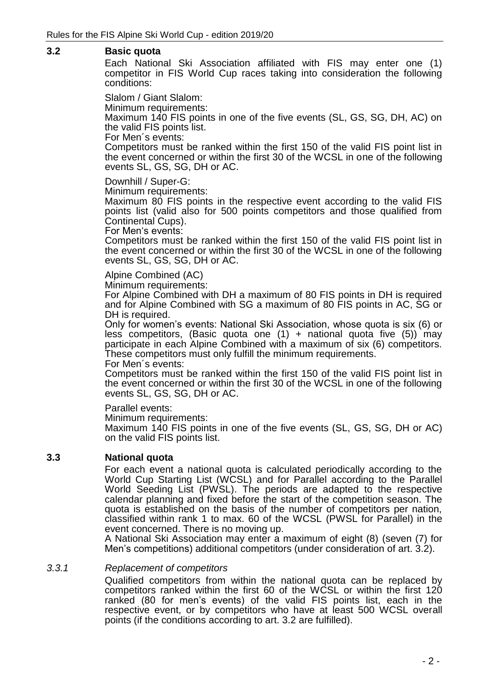### **3.2 Basic quota**

Each National Ski Association affiliated with FIS may enter one (1) competitor in FIS World Cup races taking into consideration the following conditions:

Slalom / Giant Slalom:

Minimum requirements:

Maximum 140 FIS points in one of the five events (SL, GS, SG, DH, AC) on the valid FIS points list.

For Men´s events:

Competitors must be ranked within the first 150 of the valid FIS point list in the event concerned or within the first 30 of the WCSL in one of the following events SL, GS, SG, DH or AC.

Downhill / Super-G:

Minimum requirements:

Maximum 80 FIS points in the respective event according to the valid FIS points list (valid also for 500 points competitors and those qualified from Continental Cups).

For Men's events:

Competitors must be ranked within the first 150 of the valid FIS point list in the event concerned or within the first 30 of the WCSL in one of the following events SL, GS, SG, DH or AC.

## Alpine Combined (AC)

Minimum requirements:

For Alpine Combined with DH a maximum of 80 FIS points in DH is required and for Alpine Combined with SG a maximum of 80 FIS points in AC, SG or DH is required.

Only for women's events: National Ski Association, whose quota is six (6) or less competitors, (Basic quota one  $(1)$  + national quota five  $(5)$ ) may participate in each Alpine Combined with a maximum of six (6) competitors. These competitors must only fulfill the minimum requirements.

For Men´s events:

Competitors must be ranked within the first 150 of the valid FIS point list in the event concerned or within the first 30 of the WCSL in one of the following events SL, GS, SG, DH or AC.

Parallel events:

Minimum requirements:

Maximum 140 FIS points in one of the five events (SL, GS, SG, DH or AC) on the valid FIS points list.

### **3.3 National quota**

For each event a national quota is calculated periodically according to the World Cup Starting List (WCSL) and for Parallel according to the Parallel World Seeding List (PWSL). The periods are adapted to the respective calendar planning and fixed before the start of the competition season. The quota is established on the basis of the number of competitors per nation, classified within rank 1 to max. 60 of the WCSL (PWSL for Parallel) in the event concerned. There is no moving up.

A National Ski Association may enter a maximum of eight (8) (seven (7) for Men's competitions) additional competitors (under consideration of art. 3.2).

### *3.3.1 Replacement of competitors*

Qualified competitors from within the national quota can be replaced by competitors ranked within the first 60 of the WCSL or within the first 120 ranked (80 for men's events) of the valid FIS points list, each in the respective event, or by competitors who have at least 500 WCSL overall points (if the conditions according to art. 3.2 are fulfilled).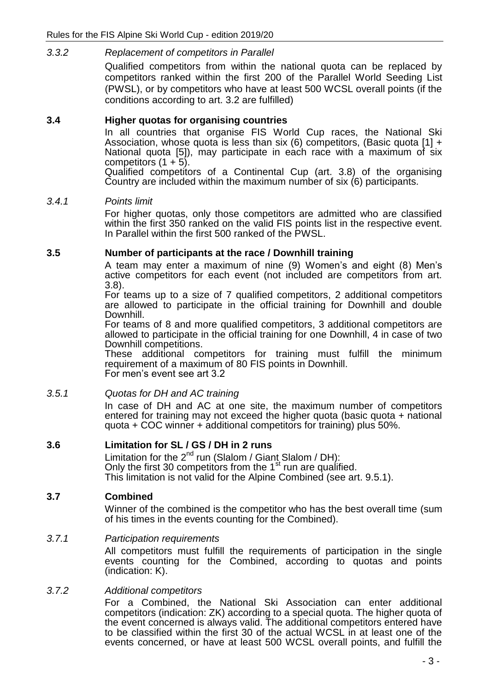### *3.3.2 Replacement of competitors in Parallel*

Qualified competitors from within the national quota can be replaced by competitors ranked within the first 200 of the Parallel World Seeding List (PWSL), or by competitors who have at least 500 WCSL overall points (if the conditions according to art. 3.2 are fulfilled)

### **3.4 Higher quotas for organising countries**

In all countries that organise FIS World Cup races, the National Ski Association, whose quota is less than six (6) competitors, (Basic quota  $[1] +$ National quota [5]), may participate in each race with a maximum of six competitors  $(1 + 5)$ .

Qualified competitors of a Continental Cup (art. 3.8) of the organising Country are included within the maximum number of six (6) participants.

### *3.4.1 Points limit*

For higher quotas, only those competitors are admitted who are classified within the first 350 ranked on the valid FIS points list in the respective event. In Parallel within the first 500 ranked of the PWSL.

### **3.5 Number of participants at the race / Downhill training**

A team may enter a maximum of nine (9) Women's and eight (8) Men's active competitors for each event (not included are competitors from art. 3.8).

For teams up to a size of 7 qualified competitors, 2 additional competitors are allowed to participate in the official training for Downhill and double Downhill.

For teams of 8 and more qualified competitors, 3 additional competitors are allowed to participate in the official training for one Downhill, 4 in case of two Downhill competitions.

These additional competitors for training must fulfill the minimum requirement of a maximum of 80 FIS points in Downhill. For men's event see art 3.2

### *3.5.1 Quotas for DH and AC training*

In case of DH and AC at one site, the maximum number of competitors entered for training may not exceed the higher quota (basic quota + national quota + COC winner + additional competitors for training) plus 50%.

### **3.6 Limitation for SL / GS / DH in 2 runs**

Limitation for the  $2^{nd}$  run (Slalom / Giant Slalom / DH): Only the first 30 competitors from the 1<sup>st</sup> run are qualified. This limitation is not valid for the Alpine Combined (see art. 9.5.1).

### **3.7 Combined**

Winner of the combined is the competitor who has the best overall time (sum of his times in the events counting for the Combined).

### *3.7.1 Participation requirements*

All competitors must fulfill the requirements of participation in the single events counting for the Combined, according to quotas and points (indication: K).

### *3.7.2 Additional competitors*

For a Combined, the National Ski Association can enter additional competitors (indication: ZK) according to a special quota. The higher quota of the event concerned is always valid. The additional competitors entered have to be classified within the first 30 of the actual WCSL in at least one of the events concerned, or have at least 500 WCSL overall points, and fulfill the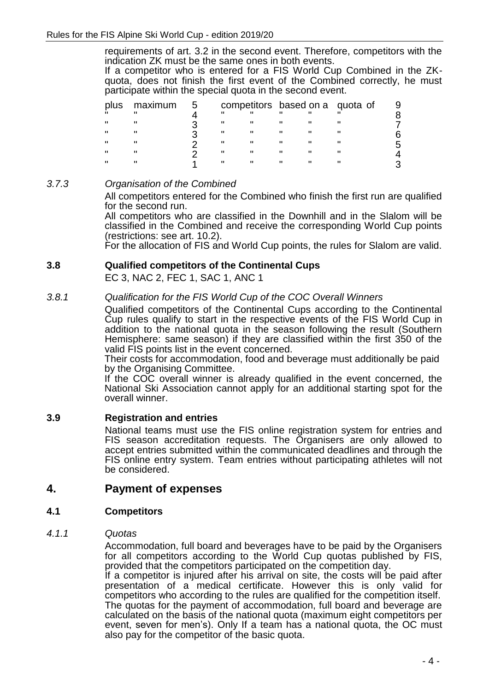requirements of art. 3.2 in the second event. Therefore, competitors with the indication ZK must be the same ones in both events.

If a competitor who is entered for a FIS World Cup Combined in the ZKquota, does not finish the first event of the Combined correctly, he must participate within the special quota in the second event.

| plus | maximum |  |   |              | competitors based on a quota of |  |
|------|---------|--|---|--------------|---------------------------------|--|
|      |         |  |   | $\mathbf{u}$ |                                 |  |
|      |         |  |   |              |                                 |  |
|      |         |  |   |              |                                 |  |
| Н    |         |  |   |              |                                 |  |
| ш    |         |  | " |              |                                 |  |
|      |         |  |   |              |                                 |  |

### *3.7.3 Organisation of the Combined*

All competitors entered for the Combined who finish the first run are qualified for the second run.

All competitors who are classified in the Downhill and in the Slalom will be classified in the Combined and receive the corresponding World Cup points (restrictions: see art. 10.2).

For the allocation of FIS and World Cup points, the rules for Slalom are valid.

### **3.8 Qualified competitors of the Continental Cups**

EC 3, NAC 2, FEC 1, SAC 1, ANC 1

### *3.8.1 Qualification for the FIS World Cup of the COC Overall Winners*

Qualified competitors of the Continental Cups according to the Continental Cup rules qualify to start in the respective events of the FIS World Cup in addition to the national quota in the season following the result (Southern Hemisphere: same season) if they are classified within the first 350 of the valid FIS points list in the event concerned.

Their costs for accommodation, food and beverage must additionally be paid by the Organising Committee.

If the COC overall winner is already qualified in the event concerned, the National Ski Association cannot apply for an additional starting spot for the overall winner.

### **3.9 Registration and entries**

National teams must use the FIS online registration system for entries and FIS season accreditation requests. The Organisers are only allowed to accept entries submitted within the communicated deadlines and through the FIS online entry system. Team entries without participating athletes will not be considered.

### **4. Payment of expenses**

### **4.1 Competitors**

### *4.1.1 Quotas*

Accommodation, full board and beverages have to be paid by the Organisers for all competitors according to the World Cup quotas published by FIS, provided that the competitors participated on the competition day.

If a competitor is injured after his arrival on site, the costs will be paid after presentation of a medical certificate. However this is only valid for competitors who according to the rules are qualified for the competition itself. The quotas for the payment of accommodation, full board and beverage are calculated on the basis of the national quota (maximum eight competitors per event, seven for men's). Only If a team has a national quota, the OC must also pay for the competitor of the basic quota.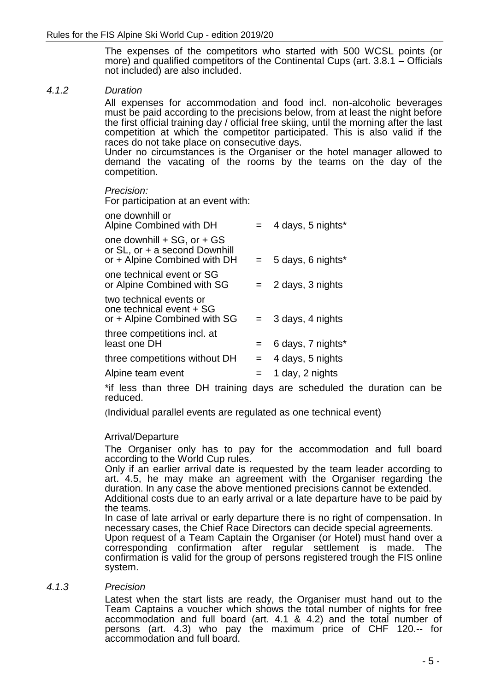The expenses of the competitors who started with 500 WCSL points (or more) and qualified competitors of the Continental Cups (art. 3.8.1 – Officials not included) are also included.

### *4.1.2 Duration*

All expenses for accommodation and food incl. non-alcoholic beverages must be paid according to the precisions below, from at least the night before the first official training day / official free skiing, until the morning after the last competition at which the competitor participated. This is also valid if the races do not take place on consecutive days.

Under no circumstances is the Organiser or the hotel manager allowed to demand the vacating of the rooms by the teams on the day of the competition.

#### *Precision:*

one downhill or

For participation at an event with:

| one downhill or<br>Alpine Combined with DH                                                  |     | $=$ 4 days, 5 nights* |
|---------------------------------------------------------------------------------------------|-----|-----------------------|
| one downhill + SG, or + GS<br>or SL, or + a second Downhill<br>or + Alpine Combined with DH |     | $= 5$ days, 6 nights* |
| one technical event or SG<br>or Alpine Combined with SG                                     |     | $= 2$ days, 3 nights  |
| two technical events or<br>one technical event + SG<br>or + Alpine Combined with SG         |     | $=$ 3 days, 4 nights  |
| three competitions incl. at<br>least one DH                                                 | $=$ | 6 days, 7 nights*     |
| three competitions without DH                                                               | $=$ | 4 days, 5 nights      |
| Alpine team event                                                                           | $=$ | 1 day, 2 nights       |
|                                                                                             |     |                       |

\*if less than three DH training days are scheduled the duration can be reduced.

(Individual parallel events are regulated as one technical event)

### Arrival/Departure

The Organiser only has to pay for the accommodation and full board according to the World Cup rules.

Only if an earlier arrival date is requested by the team leader according to art. 4.5, he may make an agreement with the Organiser regarding the duration. In any case the above mentioned precisions cannot be extended. Additional costs due to an early arrival or a late departure have to be paid by

the teams.

In case of late arrival or early departure there is no right of compensation. In necessary cases, the Chief Race Directors can decide special agreements.

Upon request of a Team Captain the Organiser (or Hotel) must hand over a corresponding confirmation after regular settlement is made. The confirmation is valid for the group of persons registered trough the FIS online system.

### *4.1.3 Precision*

Latest when the start lists are ready, the Organiser must hand out to the Team Captains a voucher which shows the total number of nights for free accommodation and full board (art. 4.1 & 4.2) and the total number of persons (art. 4.3) who pay the maximum price of CHF 120.-- for accommodation and full board.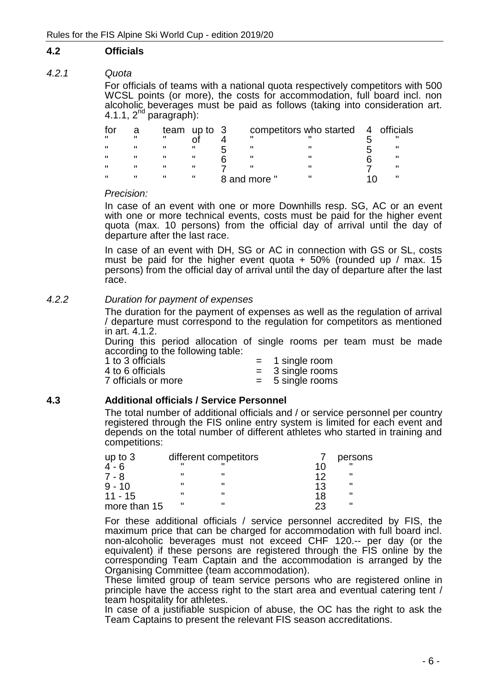### **4.2 Officials**

### *4.2.1 Quota*

For officials of teams with a national quota respectively competitors with 500 WCSL points (or more), the costs for accommodation, full board incl. non alcoholic beverages must be paid as follows (taking into consideration art.  $4.1.1, 2<sup>nd</sup>$  paragraph):

| for |              |   | team up to $3$ |              | competitors who started 4 officials |  |
|-----|--------------|---|----------------|--------------|-------------------------------------|--|
| Ħ.  | $\mathbf{u}$ | п |                |              |                                     |  |
|     |              | н |                |              |                                     |  |
| π   |              | н |                |              |                                     |  |
| π   | $\mathbf{u}$ | н |                |              |                                     |  |
| п   |              | н |                | 8 and more " |                                     |  |

#### *Precision:*

In case of an event with one or more Downhills resp. SG, AC or an event with one or more technical events, costs must be paid for the higher event quota (max. 10 persons) from the official day of arrival until the day of departure after the last race.

In case of an event with DH, SG or AC in connection with GS or SL, costs must be paid for the higher event quota  $+50\%$  (rounded up / max. 15) persons) from the official day of arrival until the day of departure after the last race.

### *4.2.2 Duration for payment of expenses*

The duration for the payment of expenses as well as the regulation of arrival / departure must correspond to the regulation for competitors as mentioned in art. 4.1.2.

During this period allocation of single rooms per team must be made according to the following table:

| 1 to 3 officials    | $=$ 1 single room  |
|---------------------|--------------------|
| 4 to 6 officials    | $=$ 3 single rooms |
| 7 officials or more | $= 5$ single rooms |

### **4.3 Additional officials / Service Personnel**

The total number of additional officials and / or service personnel per country registered through the FIS online entry system is limited for each event and depends on the total number of different athletes who started in training and competitions:

| up to $3$    |   | different competitors |    | persons |
|--------------|---|-----------------------|----|---------|
| $4 - 6$      |   |                       | 1በ |         |
| $7 - 8$      |   |                       | 17 | Ш       |
| $9 - 10$     |   | ш                     | 13 | Ш       |
| $11 - 15$    |   | Ш                     | 18 | Ш       |
| more than 15 | ш |                       | つつ | Ш       |

For these additional officials / service personnel accredited by FIS, the maximum price that can be charged for accommodation with full board incl. non-alcoholic beverages must not exceed CHF 120.-- per day (or the equivalent) if these persons are registered through the FIS online by the corresponding Team Captain and the accommodation is arranged by the Organising Committee (team accommodation).

These limited group of team service persons who are registered online in principle have the access right to the start area and eventual catering tent / team hospitality for athletes.

In case of a justifiable suspicion of abuse, the OC has the right to ask the Team Captains to present the relevant FIS season accreditations.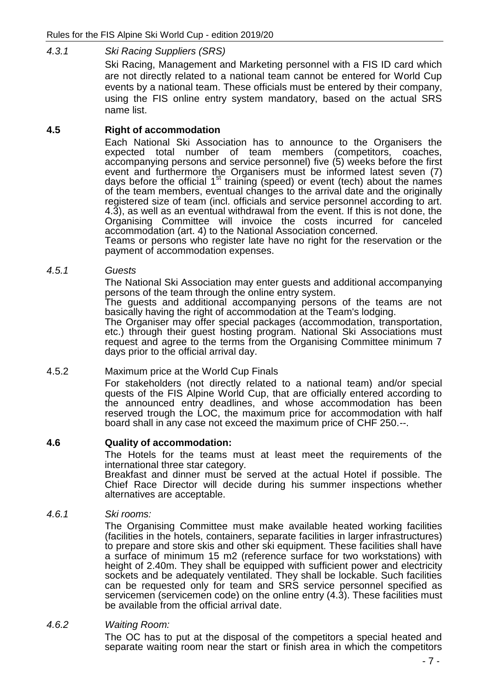*4.3.1 Ski Racing Suppliers (SRS)*

Ski Racing, Management and Marketing personnel with a FIS ID card which are not directly related to a national team cannot be entered for World Cup events by a national team. These officials must be entered by their company, using the FIS online entry system mandatory, based on the actual SRS name list.

### **4.5 Right of accommodation**

Each National Ski Association has to announce to the Organisers the expected total number of team members (competitors, coaches, accompanying persons and service personnel) five (5) weeks before the first event and furthermore the Organisers must be informed latest seven (7) days before the official 1<sup>st</sup> training (speed) or event (tech) about the names of the team members, eventual changes to the arrival date and the originally registered size of team (incl. officials and service personnel according to art. 4.3), as well as an eventual withdrawal from the event. If this is not done, the Organising Committee will invoice the costs incurred for canceled accommodation (art. 4) to the National Association concerned.

Teams or persons who register late have no right for the reservation or the payment of accommodation expenses.

*4.5.1 Guests*

The National Ski Association may enter guests and additional accompanying persons of the team through the online entry system.

The guests and additional accompanying persons of the teams are not basically having the right of accommodation at the Team's lodging.

The Organiser may offer special packages (accommodation, transportation, etc.) through their guest hosting program. National Ski Associations must request and agree to the terms from the Organising Committee minimum 7 days prior to the official arrival day.

### 4.5.2 Maximum price at the World Cup Finals

For stakeholders (not directly related to a national team) and/or special quests of the FIS Alpine World Cup, that are officially entered according to the announced entry deadlines, and whose accommodation has been reserved trough the LOC, the maximum price for accommodation with half board shall in any case not exceed the maximum price of CHF 250.--.

### **4.6 Quality of accommodation:**

The Hotels for the teams must at least meet the requirements of the international three star category.

Breakfast and dinner must be served at the actual Hotel if possible. The Chief Race Director will decide during his summer inspections whether alternatives are acceptable.

### *4.6.1 Ski rooms:*

The Organising Committee must make available heated working facilities (facilities in the hotels, containers, separate facilities in larger infrastructures) to prepare and store skis and other ski equipment. These facilities shall have a surface of minimum 15 m2 (reference surface for two workstations) with height of 2.40m. They shall be equipped with sufficient power and electricity sockets and be adequately ventilated. They shall be lockable. Such facilities can be requested only for team and SRS service personnel specified as servicemen (servicemen code) on the online entry (4.3). These facilities must be available from the official arrival date.

*4.6.2 Waiting Room:*

The OC has to put at the disposal of the competitors a special heated and separate waiting room near the start or finish area in which the competitors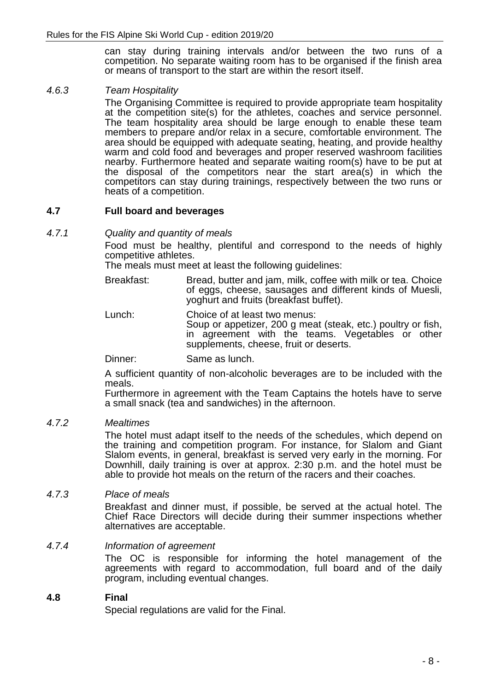can stay during training intervals and/or between the two runs of a competition. No separate waiting room has to be organised if the finish area or means of transport to the start are within the resort itself.

### *4.6.3 Team Hospitality*

The Organising Committee is required to provide appropriate team hospitality at the competition site(s) for the athletes, coaches and service personnel. The team hospitality area should be large enough to enable these team members to prepare and/or relax in a secure, comfortable environment. The area should be equipped with adequate seating, heating, and provide healthy warm and cold food and beverages and proper reserved washroom facilities nearby. Furthermore heated and separate waiting room(s) have to be put at the disposal of the competitors near the start area(s) in which the competitors can stay during trainings, respectively between the two runs or heats of a competition.

### **4.7 Full board and beverages**

*4.7.1 Quality and quantity of meals*

Food must be healthy, plentiful and correspond to the needs of highly competitive athletes.

The meals must meet at least the following guidelines:

- Breakfast: Bread, butter and jam, milk, coffee with milk or tea. Choice of eggs, cheese, sausages and different kinds of Muesli, yoghurt and fruits (breakfast buffet).
- Lunch: Choice of at least two menus:

Soup or appetizer, 200 g meat (steak, etc.) poultry or fish, in agreement with the teams. Vegetables or other supplements, cheese, fruit or deserts.

Dinner: Same as lunch.

A sufficient quantity of non-alcoholic beverages are to be included with the meals.

Furthermore in agreement with the Team Captains the hotels have to serve a small snack (tea and sandwiches) in the afternoon.

*4.7.2 Mealtimes*

The hotel must adapt itself to the needs of the schedules, which depend on the training and competition program. For instance, for Slalom and Giant Slalom events, in general, breakfast is served very early in the morning. For Downhill, daily training is over at approx. 2:30 p.m. and the hotel must be able to provide hot meals on the return of the racers and their coaches.

### *4.7.3 Place of meals*

Breakfast and dinner must, if possible, be served at the actual hotel. The Chief Race Directors will decide during their summer inspections whether alternatives are acceptable.

### *4.7.4 Information of agreement*

The OC is responsible for informing the hotel management of the agreements with regard to accommodation, full board and of the daily program, including eventual changes.

### **4.8 Final**

Special regulations are valid for the Final.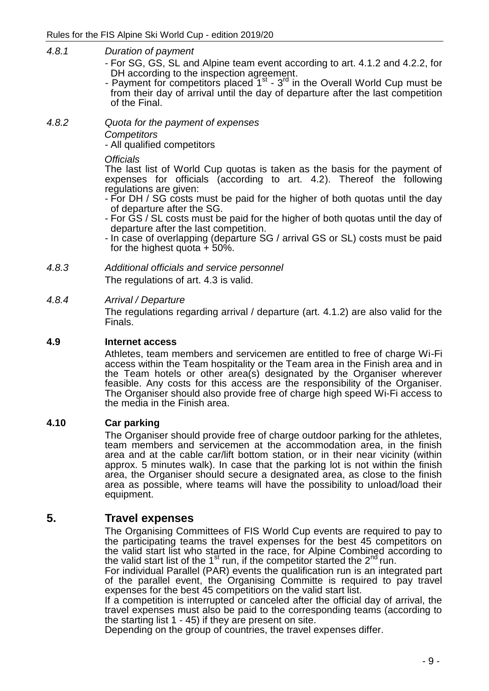- *4.8.1 Duration of payment*
	- For SG, GS, SL and Alpine team event according to art. 4.1.2 and 4.2.2, for DH according to the inspection agreement.
	- Payment for competitors placed  $1<sup>st</sup> 3<sup>rd</sup>$  in the Overall World Cup must be from their day of arrival until the day of departure after the last competition of the Final.
- *4.8.2 Quota for the payment of expenses Competitors*

- All qualified competitors

*Officials*

The last list of World Cup quotas is taken as the basis for the payment of expenses for officials (according to art. 4.2). Thereof the following regulations are given:

- For DH / SG costs must be paid for the higher of both quotas until the day of departure after the SG.
- For GS / SL costs must be paid for the higher of both quotas until the day of departure after the last competition.
- In case of overlapping (departure SG / arrival GS or SL) costs must be paid for the highest quota  $+50\%$ .
- *4.8.3 Additional officials and service personnel*

The regulations of art. 4.3 is valid.

### *4.8.4 Arrival / Departure*

The regulations regarding arrival / departure (art. 4.1.2) are also valid for the Finals.

### **4.9 Internet access**

Athletes, team members and servicemen are entitled to free of charge Wi-Fi access within the Team hospitality or the Team area in the Finish area and in the Team hotels or other area(s) designated by the Organiser wherever feasible. Any costs for this access are the responsibility of the Organiser. The Organiser should also provide free of charge high speed Wi-Fi access to the media in the Finish area.

### **4.10 Car parking**

The Organiser should provide free of charge outdoor parking for the athletes, team members and servicemen at the accommodation area, in the finish area and at the cable car/lift bottom station, or in their near vicinity (within approx. 5 minutes walk). In case that the parking lot is not within the finish area, the Organiser should secure a designated area, as close to the finish area as possible, where teams will have the possibility to unload/load their equipment.

# **5. Travel expenses**

The Organising Committees of FIS World Cup events are required to pay to the participating teams the travel expenses for the best 45 competitors on the valid start list who started in the race, for Alpine Combined according to the valid start list of the  $1<sup>st</sup>$  run, if the competitor started the  $2<sup>nd</sup>$  run.

For individual Parallel (PAR) events the qualification run is an integrated part of the parallel event, the Organising Committe is required to pay travel expenses for the best 45 competitiors on the valid start list.

If a competition is interrupted or canceled after the official day of arrival, the travel expenses must also be paid to the corresponding teams (according to the starting list 1 - 45) if they are present on site.

Depending on the group of countries, the travel expenses differ.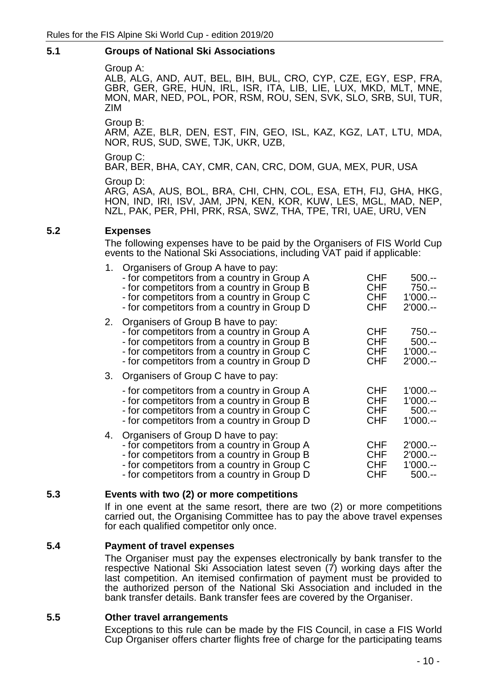### **5.1 Groups of National Ski Associations**

Group A:

ALB, ALG, AND, AUT, BEL, BIH, BUL, CRO, CYP, CZE, EGY, ESP, FRA, GBR, GER, GRE, HUN, IRL, ISR, ITA, LIB, LIE, LUX, MKD, MLT, MNE, MON, MAR, NED, POL, POR, RSM, ROU, SEN, SVK, SLO, SRB, SUI, TUR, ZIM

Group B:

ARM, AZE, BLR, DEN, EST, FIN, GEO, ISL, KAZ, KGZ, LAT, LTU, MDA, NOR, RUS, SUD, SWE, TJK, UKR, UZB,

Group C:

BAR, BER, BHA, CAY, CMR, CAN, CRC, DOM, GUA, MEX, PUR, USA

Group D:

ARG, ASA, AUS, BOL, BRA, CHI, CHN, COL, ESA, ETH, FIJ, GHA, HKG, HON, IND, IRI, ISV, JAM, JPN, KEN, KOR, KUW, LES, MGL, MAD, NEP, NZL, PAK, PER, PHI, PRK, RSA, SWZ, THA, TPE, TRI, UAE, URU, VEN

### **5.2 Expenses**

The following expenses have to be paid by the Organisers of FIS World Cup events to the National Ski Associations, including VAT paid if applicable:

| 1. | Organisers of Group A have to pay:<br>- for competitors from a country in Group A<br>- for competitors from a country in Group B<br>- for competitors from a country in Group C<br>- for competitors from a country in Group D    | <b>CHF</b><br><b>CHF</b><br><b>CHF</b><br><b>CHF</b> | $500 -$<br>$750 -$<br>$1'000. - -$<br>$2'000. - -$      |
|----|-----------------------------------------------------------------------------------------------------------------------------------------------------------------------------------------------------------------------------------|------------------------------------------------------|---------------------------------------------------------|
|    | 2. Organisers of Group B have to pay:<br>- for competitors from a country in Group A<br>- for competitors from a country in Group B<br>- for competitors from a country in Group C<br>- for competitors from a country in Group D | <b>CHF</b><br><b>CHF</b><br><b>CHF</b><br><b>CHF</b> | $750 -$<br>$500 -$<br>$1'000. - -$<br>$2'000. - -$      |
|    | Organisers of Group C have to pay:                                                                                                                                                                                                |                                                      |                                                         |
|    | - for competitors from a country in Group A<br>- for competitors from a country in Group B<br>- for competitors from a country in Group C<br>- for competitors from a country in Group D                                          | <b>CHF</b><br><b>CHF</b><br><b>CHF</b><br><b>CHF</b> | $1'000. - -$<br>$1'000. - -$<br>$500 -$<br>$1'000. - -$ |
| 4. | Organisers of Group D have to pay:<br>- for competitors from a country in Group A<br>- for competitors from a country in Group B<br>- for competitors from a country in Group C<br>- for competitors from a country in Group D    | <b>CHF</b><br><b>CHF</b><br><b>CHF</b><br>CHF        | $2'000. - -$<br>$2'000$ .--<br>$1'000. - -$<br>$500 -$  |

### **5.3 Events with two (2) or more competitions**

If in one event at the same resort, there are two (2) or more competitions carried out, the Organising Committee has to pay the above travel expenses for each qualified competitor only once.

### **5.4 Payment of travel expenses**

The Organiser must pay the expenses electronically by bank transfer to the respective National Ski Association latest seven (7) working days after the last competition. An itemised confirmation of payment must be provided to the authorized person of the National Ski Association and included in the bank transfer details. Bank transfer fees are covered by the Organiser.

### **5.5 Other travel arrangements**

Exceptions to this rule can be made by the FIS Council, in case a FIS World Cup Organiser offers charter flights free of charge for the participating teams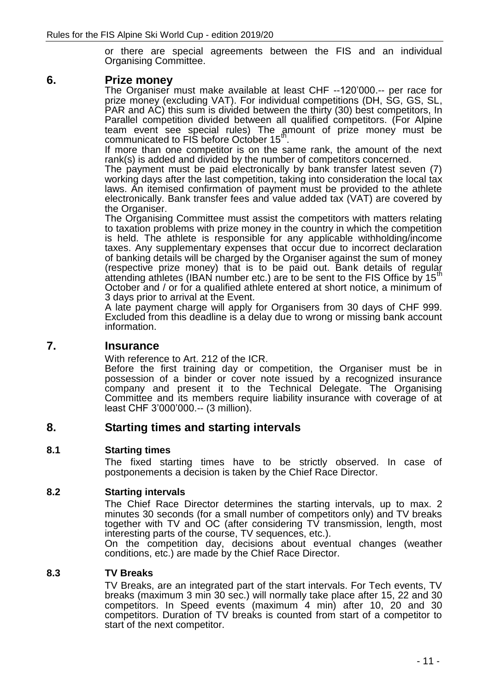or there are special agreements between the FIS and an individual Organising Committee.

### **6. Prize money**

The Organiser must make available at least CHF --120'000.-- per race for prize money (excluding VAT). For individual competitions (DH, SG, GS, SL, PAR and AC) this sum is divided between the thirty (30) best competitors, In Parallel competition divided between all qualified competitors. (For Alpine team event see special rules) The amount of prize money must be communicated to FIS before October 15<sup>th</sup>.

If more than one competitor is on the same rank, the amount of the next rank(s) is added and divided by the number of competitors concerned.

The payment must be paid electronically by bank transfer latest seven (7) working days after the last competition, taking into consideration the local tax laws. An itemised confirmation of payment must be provided to the athlete electronically. Bank transfer fees and value added tax (VAT) are covered by the Organiser.

The Organising Committee must assist the competitors with matters relating to taxation problems with prize money in the country in which the competition is held. The athlete is responsible for any applicable withholding/income taxes. Any supplementary expenses that occur due to incorrect declaration of banking details will be charged by the Organiser against the sum of money (respective prize money) that is to be paid out. Bank details of regular attending athletes (IBAN number etc.) are to be sent to the FIS Office by 15<sup>th</sup> October and / or for a qualified athlete entered at short notice, a minimum of 3 days prior to arrival at the Event.

A late payment charge will apply for Organisers from 30 days of CHF 999. Excluded from this deadline is a delay due to wrong or missing bank account information.

### **7. Insurance**

With reference to Art. 212 of the ICR.

Before the first training day or competition, the Organiser must be in possession of a binder or cover note issued by a recognized insurance company and present it to the Technical Delegate. The Organising Committee and its members require liability insurance with coverage of at least CHF 3'000'000.-- (3 million).

### **8. Starting times and starting intervals**

### **8.1 Starting times**

The fixed starting times have to be strictly observed. In case of postponements a decision is taken by the Chief Race Director.

### **8.2 Starting intervals**

The Chief Race Director determines the starting intervals, up to max. 2 minutes 30 seconds (for a small number of competitors only) and TV breaks together with TV and OC (after considering TV transmission, length, most interesting parts of the course, TV sequences, etc.).

On the competition day, decisions about eventual changes (weather conditions, etc.) are made by the Chief Race Director.

### **8.3 TV Breaks**

TV Breaks, are an integrated part of the start intervals. For Tech events, TV breaks (maximum 3 min 30 sec.) will normally take place after 15, 22 and 30 competitors. In Speed events (maximum 4 min) after 10, 20 and 30 competitors. Duration of TV breaks is counted from start of a competitor to start of the next competitor.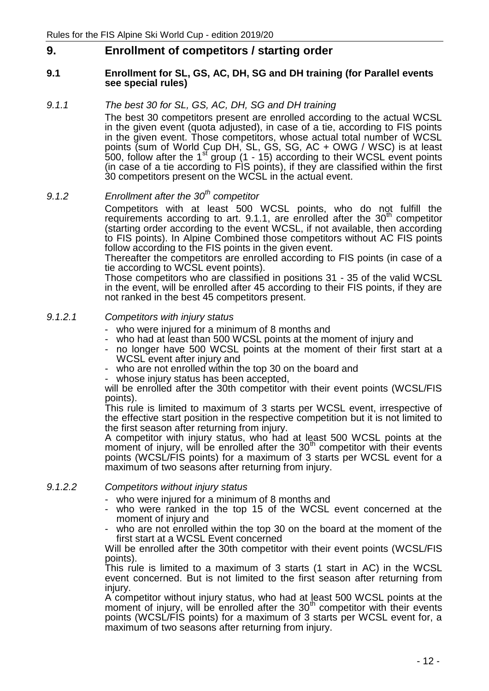## **9. Enrollment of competitors / starting order**

#### **9.1 Enrollment for SL, GS, AC, DH, SG and DH training (for Parallel events see special rules)**

### *9.1.1 The best 30 for SL, GS, AC, DH, SG and DH training*

The best 30 competitors present are enrolled according to the actual WCSL in the given event (quota adjusted), in case of a tie, according to FIS points in the given event. Those competitors, whose actual total number of WCSL points (sum of World Cup DH, SL, GS, SG, AC + OWG / WSC) is at least  $500$ , follow after the 1<sup>st</sup> group  $(1 - 15)$  according to their WCSL event points (in case of a tie according to FIS points), if they are classified within the first 30 competitors present on the WCSL in the actual event.

# *9.1.2 Enrollment after the 30th competitor*

Competitors with at least 500 WCSL points, who do not fulfill the requirements according to art. 9.1.1, are enrolled after the  $30<sup>th</sup>$  competitor (starting order according to the event WCSL, if not available, then according to FIS points). In Alpine Combined those competitors without AC FIS points follow according to the FIS points in the given event.

Thereafter the competitors are enrolled according to FIS points (in case of a tie according to WCSL event points).

Those competitors who are classified in positions 31 - 35 of the valid WCSL in the event, will be enrolled after 45 according to their FIS points, if they are not ranked in the best 45 competitors present.

### *9.1.2.1 Competitors with injury status*

- who were injured for a minimum of 8 months and
- who had at least than 500 WCSL points at the moment of injury and
- no longer have 500 WCSL points at the moment of their first start at a WCSL event after injury and
- who are not enrolled within the top 30 on the board and
- whose injury status has been accepted,

will be enrolled after the 30th competitor with their event points (WCSL/FIS points).

This rule is limited to maximum of 3 starts per WCSL event, irrespective of the effective start position in the respective competition but it is not limited to the first season after returning from injury.

A competitor with injury status, who had at least 500 WCSL points at the moment of injury, will be enrolled after the  $30<sup>th</sup>$  competitor with their events points (WCSL/FIS points) for a maximum of 3 starts per WCSL event for a maximum of two seasons after returning from injury.

### *9.1.2.2 Competitors without injury status*

- who were injured for a minimum of 8 months and
- who were ranked in the top 15 of the WCSL event concerned at the moment of injury and
- who are not enrolled within the top 30 on the board at the moment of the first start at a WCSL Event concerned

Will be enrolled after the 30th competitor with their event points (WCSL/FIS points).

This rule is limited to a maximum of 3 starts (1 start in AC) in the WCSL event concerned. But is not limited to the first season after returning from injury.

A competitor without injury status, who had at least 500 WCSL points at the moment of injury, will be enrolled after the  $30<sup>th</sup>$  competitor with their events points (WCSL/FIS points) for a maximum of 3 starts per WCSL event for, a maximum of two seasons after returning from injury.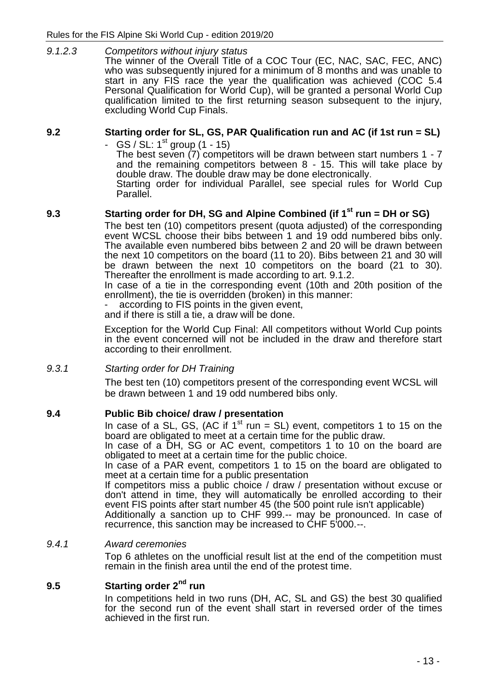*9.1.2.3 Competitors without injury status*  The winner of the Overall Title of a COC Tour (EC, NAC, SAC, FEC, ANC) who was subsequently injured for a minimum of 8 months and was unable to start in any FIS race the year the qualification was achieved (COC 5.4 Personal Qualification for World Cup), will be granted a personal World Cup qualification limited to the first returning season subsequent to the injury, excluding World Cup Finals.

### **9.2 Starting order for SL, GS, PAR Qualification run and AC (if 1st run = SL)**

-  $GS / SL: 1^{st}$  group (1 - 15)

The best seven (7) competitors will be drawn between start numbers 1 - 7 and the remaining competitors between 8 - 15. This will take place by double draw. The double draw may be done electronically. Starting order for individual Parallel, see special rules for World Cup Parallel.

### **9.3 Starting order for DH, SG and Alpine Combined (if 1 st run = DH or SG)**

The best ten (10) competitors present (quota adjusted) of the corresponding event WCSL choose their bibs between 1 and 19 odd numbered bibs only. The available even numbered bibs between 2 and 20 will be drawn between the next 10 competitors on the board (11 to 20). Bibs between 21 and 30 will be drawn between the next 10 competitors on the board (21 to 30). Thereafter the enrollment is made according to art. 9.1.2.

In case of a tie in the corresponding event (10th and 20th position of the enrollment), the tie is overridden (broken) in this manner:

according to FIS points in the given event,

and if there is still a tie, a draw will be done.

Exception for the World Cup Final: All competitors without World Cup points in the event concerned will not be included in the draw and therefore start according to their enrollment.

### *9.3.1 Starting order for DH Training*

The best ten (10) competitors present of the corresponding event WCSL will be drawn between 1 and 19 odd numbered bibs only.

### **9.4 Public Bib choice/ draw / presentation**

In case of a SL, GS, (AC if  $1<sup>st</sup>$  run = SL) event, competitors 1 to 15 on the board are obligated to meet at a certain time for the public draw.

In case of a DH, SG or AC event, competitors 1 to 10 on the board are obligated to meet at a certain time for the public choice.

In case of a PAR event, competitors 1 to 15 on the board are obligated to meet at a certain time for a public presentation

If competitors miss a public choice / draw / presentation without excuse or don't attend in time, they will automatically be enrolled according to their event FIS points after start number 45 (the 500 point rule isn't applicable)

Additionally a sanction up to CHF 999.-- may be pronounced. In case of recurrence, this sanction may be increased to CHF 5'000.--.

### *9.4.1 Award ceremonies*

Top 6 athletes on the unofficial result list at the end of the competition must remain in the finish area until the end of the protest time.

### **9.5 Starting order 2nd run**

In competitions held in two runs (DH, AC, SL and GS) the best 30 qualified for the second run of the event shall start in reversed order of the times achieved in the first run.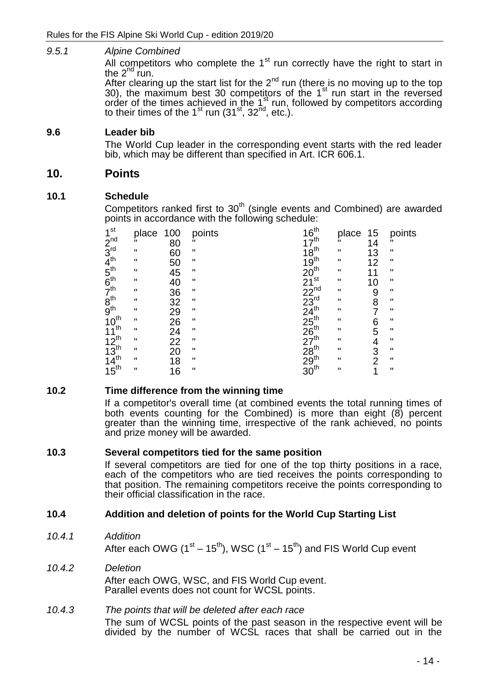### *9.5.1 Alpine Combined*

All competitors who complete the  $1<sup>st</sup>$  run correctly have the right to start in the  $2^{nd}$  run.

After clearing up the start list for the  $2^{nd}$  run (there is no moving up to the top  $30$ , the maximum best  $30$  competitors of the  $1<sup>st</sup>$  run start in the reversed order of the times achieved in the 1st run, followed by competitors according to their times of the  $1^{\text{st}}$  run  $(31^{\text{st}}, 32^{\text{nd}}, \text{etc.})$ .

### **9.6 Leader bib**

The World Cup leader in the corresponding event starts with the red leader bib, which may be different than specified in Art. ICR 606.1.

### **10. Points**

### **10.1 Schedule**

Competitors ranked first to  $30<sup>th</sup>$  (single events and Combined) are awarded points in accordance with the following schedule:

| 1 <sup>st</sup>                                                                  | place        | 100 | points       | $\frac{16^{\text{th}}}{17^{\text{th}}}$                                                   | place              | 15             | points             |
|----------------------------------------------------------------------------------|--------------|-----|--------------|-------------------------------------------------------------------------------------------|--------------------|----------------|--------------------|
|                                                                                  |              | 80  |              |                                                                                           | ĨI.                | 14             |                    |
| $2^{nd}$<br>$3^{rd}$<br>$4^{th}$<br>$5^{th}$<br>$6^{th}$<br>$7^{th}$<br>$8^{th}$ | $\mathbf H$  | 60  | $\mathbf{H}$ | $\frac{18}{19}$ <sup>th</sup>                                                             | П                  | 13             | $\pmb{\mathsf{H}}$ |
|                                                                                  | $\mathbf H$  | 50  | $\mathbf{H}$ |                                                                                           | П                  | 12             | п                  |
|                                                                                  | $\mathbf H$  | 45  | п            | 20 <sup>th</sup> st 223 <sup>rd</sup><br>223 <sup>rd</sup><br>234 <sup>th</sup> 55<br>267 | П                  | 11             | п                  |
|                                                                                  | $\mathbf H$  | 40  | $\mathbf{H}$ |                                                                                           | П                  | 10             | $\mathbf H$        |
|                                                                                  | п            | 36  | $\mathbf{H}$ |                                                                                           | H                  | 9              | ш                  |
|                                                                                  | $\mathbf H$  | 32  | $\mathbf{H}$ |                                                                                           | H                  | 8              | $\mathbf H$        |
|                                                                                  | $\mathbf H$  | 29  | $\mathbf{H}$ |                                                                                           | H                  |                | $\mathbf H$        |
| $10^{th}$                                                                        | $\mathbf{H}$ | 26  | $\mathbf{H}$ |                                                                                           | $\pmb{\mathsf{H}}$ | 6              | $\mathbf H$        |
| th<br>11                                                                         | П.           | 24  | $\mathbf{H}$ |                                                                                           | IJ                 | 5              | $\pmb{\mathsf{H}}$ |
| $12^{th}$                                                                        | $\mathbf{H}$ | 22  | $\mathbf{H}$ |                                                                                           | $\pmb{\mathsf{H}}$ | 4              | $\mathbf H$        |
| $13^{th}$<br>14 <sup>th</sup>                                                    | П.           | 20  | $\mathbf{H}$ |                                                                                           | П                  | 3              | $\mathbf H$        |
|                                                                                  | $\mathbf{u}$ | 18  | $\mathbf{H}$ |                                                                                           | $\mathbf{H}$       | $\overline{2}$ | $\mathbf{H}$       |
| $15^{\text{th}}$                                                                 | $\mathbf{H}$ | 16  | $\mathbf{H}$ | $28th$<br>29 <sup>th</sup><br>30 <sup>th</sup>                                            | Ħ                  | 1              | $\mathbf H$        |

### **10.2 Time difference from the winning time**

If a competitor's overall time (at combined events the total running times of both events counting for the Combined) is more than eight (8) percent greater than the winning time, irrespective of the rank achieved, no points and prize money will be awarded.

### **10.3 Several competitors tied for the same position**

If several competitors are tied for one of the top thirty positions in a race, each of the competitors who are tied receives the points corresponding to that position. The remaining competitors receive the points corresponding to their official classification in the race.

### **10.4 Addition and deletion of points for the World Cup Starting List**

*10.4.1 Addition*

After each OWG (1<sup>st</sup> – 15<sup>th</sup>), WSC (1<sup>st</sup> – 15<sup>th</sup>) and FIS World Cup event

*10.4.2 Deletion* After each OWG, WSC, and FIS World Cup event. Parallel events does not count for WCSL points.

### *10.4.3 The points that will be deleted after each race* The sum of WCSL points of the past season in the respective event will be divided by the number of WCSL races that shall be carried out in the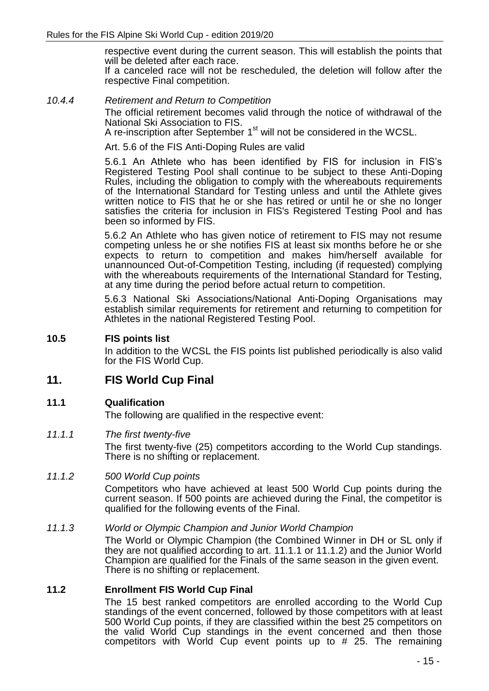respective event during the current season. This will establish the points that will be deleted after each race. If a canceled race will not be rescheduled, the deletion will follow after the respective Final competition.

*10.4.4 Retirement and Return to Competition* The official retirement becomes valid through the notice of withdrawal of the National Ski Association to FIS.

A re-inscription after September 1<sup>st</sup> will not be considered in the WCSL.

Art. 5.6 of the FIS Anti-Doping Rules are valid

5.6.1 An Athlete who has been identified by FIS for inclusion in FIS's Registered Testing Pool shall continue to be subject to these Anti-Doping Rules, including the obligation to comply with the whereabouts requirements of the International Standard for Testing unless and until the Athlete gives written notice to FIS that he or she has retired or until he or she no longer satisfies the criteria for inclusion in FIS's Registered Testing Pool and has been so informed by FIS.

5.6.2 An Athlete who has given notice of retirement to FIS may not resume competing unless he or she notifies FIS at least six months before he or she expects to return to competition and makes him/herself available for unannounced Out-of-Competition Testing, including (if requested) complying with the whereabouts requirements of the International Standard for Testing, at any time during the period before actual return to competition.

5.6.3 National Ski Associations/National Anti-Doping Organisations may establish similar requirements for retirement and returning to competition for Athletes in the national Registered Testing Pool.

### **10.5 FIS points list**

In addition to the WCSL the FIS points list published periodically is also valid for the FIS World Cup.

### **11. FIS World Cup Final**

### **11.1 Qualification**

The following are qualified in the respective event:

### *11.1.1 The first twenty-five*

The first twenty-five (25) competitors according to the World Cup standings. There is no shifting or replacement.

### *11.1.2 500 World Cup points*

Competitors who have achieved at least 500 World Cup points during the current season. If 500 points are achieved during the Final, the competitor is qualified for the following events of the Final.

### *11.1.3 World or Olympic Champion and Junior World Champion*

The World or Olympic Champion (the Combined Winner in DH or SL only if they are not qualified according to art. 11.1.1 or 11.1.2) and the Junior World Champion are qualified for the Finals of the same season in the given event. There is no shifting or replacement.

### **11.2 Enrollment FIS World Cup Final**

The 15 best ranked competitors are enrolled according to the World Cup standings of the event concerned, followed by those competitors with at least 500 World Cup points, if they are classified within the best 25 competitors on the valid World Cup standings in the event concerned and then those competitors with World Cup event points up to  $#$  25. The remaining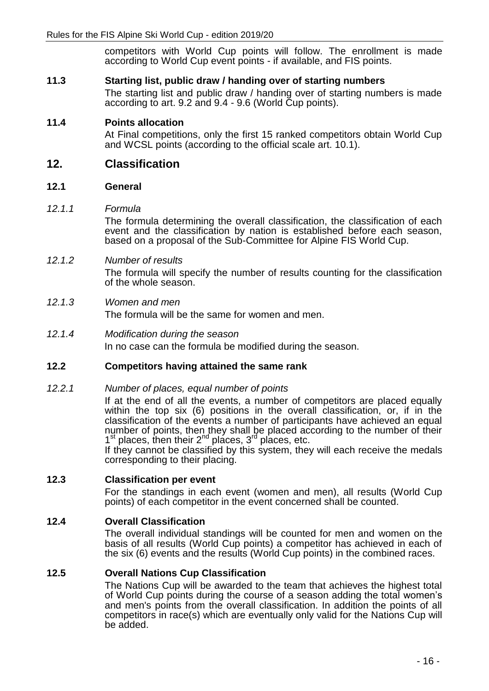competitors with World Cup points will follow. The enrollment is made according to World Cup event points - if available, and FIS points.

### **11.3 Starting list, public draw / handing over of starting numbers**

The starting list and public draw / handing over of starting numbers is made according to art. 9.2 and 9.4 - 9.6 (World Cup points).

### **11.4 Points allocation**

At Final competitions, only the first 15 ranked competitors obtain World Cup and WCSL points (according to the official scale art. 10.1).

### **12. Classification**

### **12.1 General**

#### *12.1.1 Formula*

The formula determining the overall classification, the classification of each event and the classification by nation is established before each season, based on a proposal of the Sub-Committee for Alpine FIS World Cup.

### *12.1.2 Number of results*

The formula will specify the number of results counting for the classification of the whole season.

### *12.1.3 Women and men*

The formula will be the same for women and men.

#### *12.1.4 Modification during the season* In no case can the formula be modified during the season.

### **12.2 Competitors having attained the same rank**

### *12.2.1 Number of places, equal number of points*

If at the end of all the events, a number of competitors are placed equally within the top six (6) positions in the overall classification, or, if in the classification of the events a number of participants have achieved an equal number of points, then they shall be placed according to the number of their  $1<sup>st</sup>$  places, then their  $2<sup>nd</sup>$  places,  $3<sup>rd</sup>$  places, etc.

If they cannot be classified by this system, they will each receive the medals corresponding to their placing.

### **12.3 Classification per event**

For the standings in each event (women and men), all results (World Cup points) of each competitor in the event concerned shall be counted.

### **12.4 Overall Classification**

The overall individual standings will be counted for men and women on the basis of all results (World Cup points) a competitor has achieved in each of the six (6) events and the results (World Cup points) in the combined races.

### **12.5 Overall Nations Cup Classification**

The Nations Cup will be awarded to the team that achieves the highest total of World Cup points during the course of a season adding the total women's and men's points from the overall classification. In addition the points of all competitors in race(s) which are eventually only valid for the Nations Cup will be added.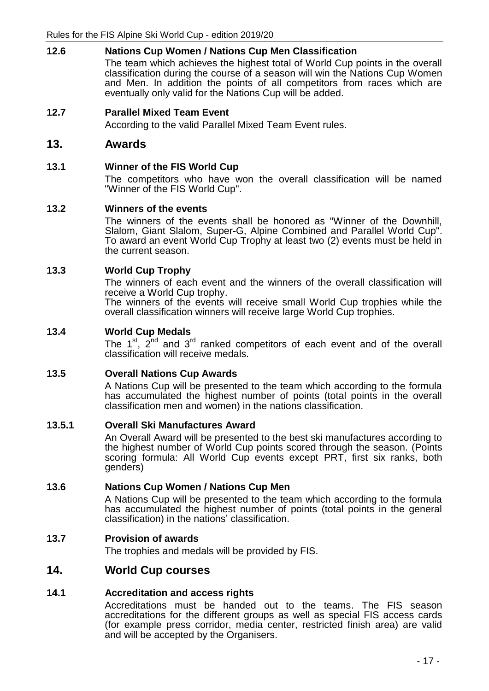### **12.6 Nations Cup Women / Nations Cup Men Classification**

The team which achieves the highest total of World Cup points in the overall classification during the course of a season will win the Nations Cup Women and Men. In addition the points of all competitors from races which are eventually only valid for the Nations Cup will be added.

**12.7 Parallel Mixed Team Event**

According to the valid Parallel Mixed Team Event rules.

### **13. Awards**

### **13.1 Winner of the FIS World Cup**

The competitors who have won the overall classification will be named "Winner of the FIS World Cup".

### **13.2 Winners of the events**

The winners of the events shall be honored as "Winner of the Downhill, Slalom, Giant Slalom, Super-G, Alpine Combined and Parallel World Cup". To award an event World Cup Trophy at least two (2) events must be held in the current season.

### **13.3 World Cup Trophy**

The winners of each event and the winners of the overall classification will receive a World Cup trophy.

The winners of the events will receive small World Cup trophies while the overall classification winners will receive large World Cup trophies.

### **13.4 World Cup Medals**

The  $1^{st}$ ,  $2^{nd}$  and  $3^{rd}$  ranked competitors of each event and of the overall classification will receive medals.

### **13.5 Overall Nations Cup Awards**

A Nations Cup will be presented to the team which according to the formula has accumulated the highest number of points (total points in the overall classification men and women) in the nations classification.

### **13.5.1 Overall Ski Manufactures Award**

An Overall Award will be presented to the best ski manufactures according to the highest number of World Cup points scored through the season. (Points scoring formula: All World Cup events except PRT, first six ranks, both genders)

### **13.6 Nations Cup Women / Nations Cup Men**

A Nations Cup will be presented to the team which according to the formula has accumulated the highest number of points (total points in the general classification) in the nations' classification.

### **13.7 Provision of awards**

The trophies and medals will be provided by FIS.

### **14. World Cup courses**

### **14.1 Accreditation and access rights**

Accreditations must be handed out to the teams. The FIS season accreditations for the different groups as well as special FIS access cards (for example press corridor, media center, restricted finish area) are valid and will be accepted by the Organisers.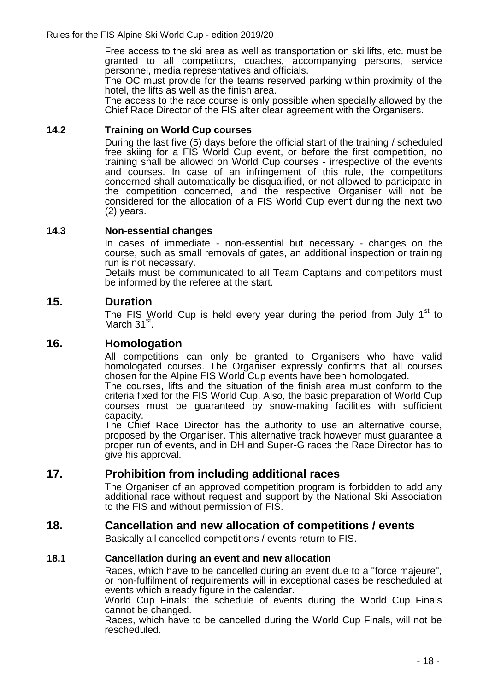Free access to the ski area as well as transportation on ski lifts, etc. must be granted to all competitors, coaches, accompanying persons, service personnel, media representatives and officials.

The OC must provide for the teams reserved parking within proximity of the hotel, the lifts as well as the finish area.

The access to the race course is only possible when specially allowed by the Chief Race Director of the FIS after clear agreement with the Organisers.

### **14.2 Training on World Cup courses**

During the last five (5) days before the official start of the training / scheduled free skiing for a FIS World Cup event, or before the first competition, no training shall be allowed on World Cup courses - irrespective of the events and courses. In case of an infringement of this rule, the competitors concerned shall automatically be disqualified, or not allowed to participate in the competition concerned, and the respective Organiser will not be considered for the allocation of a FIS World Cup event during the next two (2) years.

### **14.3 Non-essential changes**

In cases of immediate - non-essential but necessary - changes on the course, such as small removals of gates, an additional inspection or training run is not necessary.

Details must be communicated to all Team Captains and competitors must be informed by the referee at the start.

### **15. Duration**

The FIS World Cup is held every year during the period from July  $1<sup>st</sup>$  to March 31<sup>st</sup>.

### **16. Homologation**

All competitions can only be granted to Organisers who have valid homologated courses. The Organiser expressly confirms that all courses chosen for the Alpine FIS World Cup events have been homologated.

The courses, lifts and the situation of the finish area must conform to the criteria fixed for the FIS World Cup. Also, the basic preparation of World Cup courses must be guaranteed by snow-making facilities with sufficient capacity.

The Chief Race Director has the authority to use an alternative course, proposed by the Organiser. This alternative track however must guarantee a proper run of events, and in DH and Super-G races the Race Director has to give his approval.

# **17. Prohibition from including additional races**

The Organiser of an approved competition program is forbidden to add any additional race without request and support by the National Ski Association to the FIS and without permission of FIS.

### **18. Cancellation and new allocation of competitions / events**

Basically all cancelled competitions / events return to FIS.

### **18.1 Cancellation during an event and new allocation**

Races, which have to be cancelled during an event due to a "force majeure", or non-fulfilment of requirements will in exceptional cases be rescheduled at events which already figure in the calendar.

World Cup Finals: the schedule of events during the World Cup Finals cannot be changed.

Races, which have to be cancelled during the World Cup Finals, will not be rescheduled.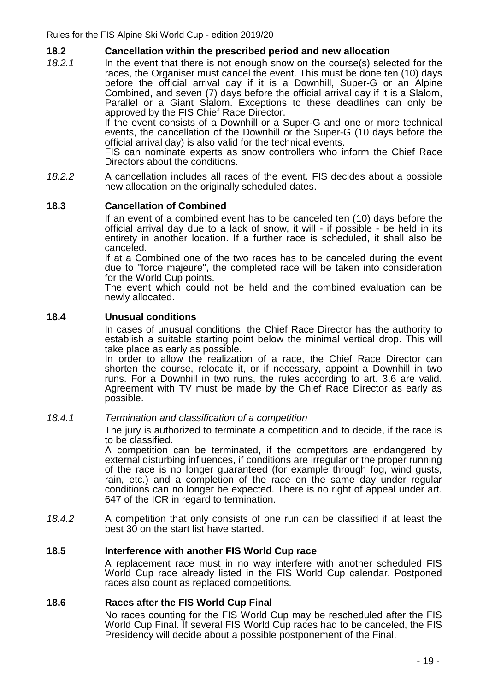### **18.2 Cancellation within the prescribed period and new allocation**

*18.2.1* In the event that there is not enough snow on the course(s) selected for the races, the Organiser must cancel the event. This must be done ten (10) days before the official arrival day if it is a Downhill, Super-G or an Alpine Combined, and seven (7) days before the official arrival day if it is a Slalom, Parallel or a Giant Slalom. Exceptions to these deadlines can only be approved by the FIS Chief Race Director.

If the event consists of a Downhill or a Super-G and one or more technical events, the cancellation of the Downhill or the Super-G (10 days before the official arrival day) is also valid for the technical events.

FIS can nominate experts as snow controllers who inform the Chief Race Directors about the conditions.

*18.2.2* A cancellation includes all races of the event. FIS decides about a possible new allocation on the originally scheduled dates.

### **18.3 Cancellation of Combined**

If an event of a combined event has to be canceled ten (10) days before the official arrival day due to a lack of snow, it will - if possible - be held in its entirety in another location. If a further race is scheduled, it shall also be canceled.

If at a Combined one of the two races has to be canceled during the event due to "force majeure", the completed race will be taken into consideration for the World Cup points.

The event which could not be held and the combined evaluation can be newly allocated.

### **18.4 Unusual conditions**

In cases of unusual conditions, the Chief Race Director has the authority to establish a suitable starting point below the minimal vertical drop. This will take place as early as possible.

In order to allow the realization of a race, the Chief Race Director can shorten the course, relocate it, or if necessary, appoint a Downhill in two runs. For a Downhill in two runs, the rules according to art. 3.6 are valid. Agreement with TV must be made by the Chief Race Director as early as possible.

### *18.4.1 Termination and classification of a competition*

The jury is authorized to terminate a competition and to decide, if the race is to be classified.

A competition can be terminated, if the competitors are endangered by external disturbing influences, if conditions are irregular or the proper running of the race is no longer guaranteed (for example through fog, wind gusts, rain, etc.) and a completion of the race on the same day under regular conditions can no longer be expected. There is no right of appeal under art. 647 of the ICR in regard to termination.

*18.4.2* A competition that only consists of one run can be classified if at least the best 30 on the start list have started.

### **18.5 Interference with another FIS World Cup race**

A replacement race must in no way interfere with another scheduled FIS World Cup race already listed in the FIS World Cup calendar. Postponed races also count as replaced competitions.

### **18.6 Races after the FIS World Cup Final**

No races counting for the FIS World Cup may be rescheduled after the FIS World Cup Final. If several FIS World Cup races had to be canceled, the FIS Presidency will decide about a possible postponement of the Final.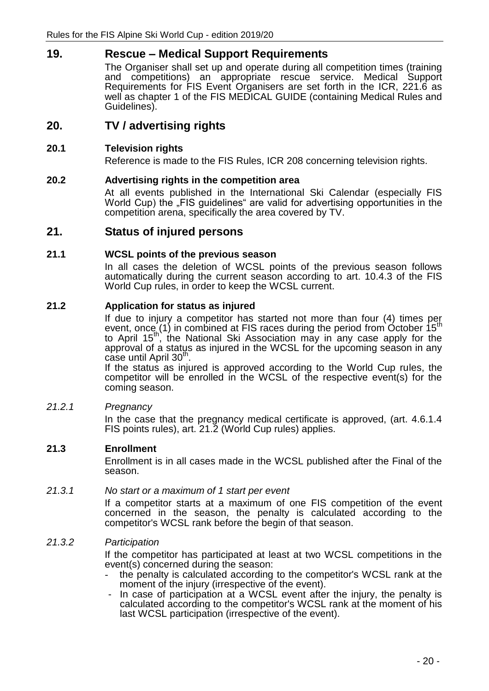# **19. Rescue – Medical Support Requirements**

The Organiser shall set up and operate during all competition times (training and competitions) an appropriate rescue service. Medical Support Requirements for FIS Event Organisers are set forth in the ICR, 221.6 as well as chapter 1 of the FIS MEDICAL GUIDE (containing Medical Rules and Guidelines).

# **20. TV / advertising rights**

### **20.1 Television rights**

Reference is made to the FIS Rules, ICR 208 concerning television rights.

### **20.2 Advertising rights in the competition area**

At all events published in the International Ski Calendar (especially FIS World Cup) the "FIS guidelines" are valid for advertising opportunities in the competition arena, specifically the area covered by TV.

### **21. Status of injured persons**

### **21.1 WCSL points of the previous season**

In all cases the deletion of WCSL points of the previous season follows automatically during the current season according to art. 10.4.3 of the FIS World Cup rules, in order to keep the WCSL current.

### **21.2 Application for status as injured**

If due to injury a competitor has started not more than four (4) times per event, once  $(1)$  in combined at FIS races during the period from October  $15<sup>th</sup>$ to April 15th, the National Ski Association may in any case apply for the approval of a status as injured in the WCSL for the upcoming season in any  $case$  until April 30<sup>th</sup>.

If the status as injured is approved according to the World Cup rules, the competitor will be enrolled in the WCSL of the respective event(s) for the coming season.

### *21.2.1 Pregnancy*

In the case that the pregnancy medical certificate is approved, (art. 4.6.1.4 FIS points rules), art. 21.2 (World Cup rules) applies.

### **21.3 Enrollment**

Enrollment is in all cases made in the WCSL published after the Final of the season.

### *21.3.1 No start or a maximum of 1 start per event*

If a competitor starts at a maximum of one FIS competition of the event concerned in the season, the penalty is calculated according to the competitor's WCSL rank before the begin of that season.

### *21.3.2 Participation*

If the competitor has participated at least at two WCSL competitions in the event(s) concerned during the season:

- the penalty is calculated according to the competitor's WCSL rank at the moment of the injury (irrespective of the event).
- In case of participation at a WCSL event after the injury, the penalty is calculated according to the competitor's WCSL rank at the moment of his last WCSL participation (irrespective of the event).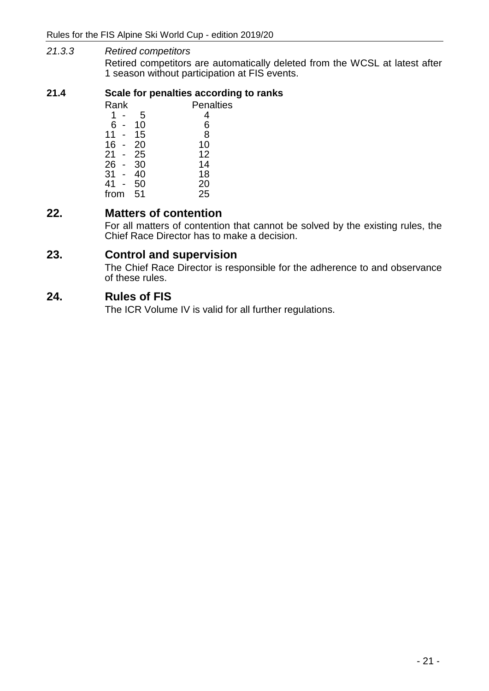### *21.3.3 Retired competitors*

Retired competitors are automatically deleted from the WCSL at latest after 1 season without participation at FIS events.

### **21.4 Scale for penalties according to ranks**

| <b>Penalties</b> |  |  |
|------------------|--|--|
| 4                |  |  |
| 6                |  |  |
| 8                |  |  |
| 10               |  |  |
| 12               |  |  |
| 14               |  |  |
| 18               |  |  |
| 20               |  |  |
| 25               |  |  |
|                  |  |  |

# **22. Matters of contention**

For all matters of contention that cannot be solved by the existing rules, the Chief Race Director has to make a decision.

# **23. Control and supervision**

The Chief Race Director is responsible for the adherence to and observance of these rules.

# **24. Rules of FIS**

The ICR Volume IV is valid for all further regulations.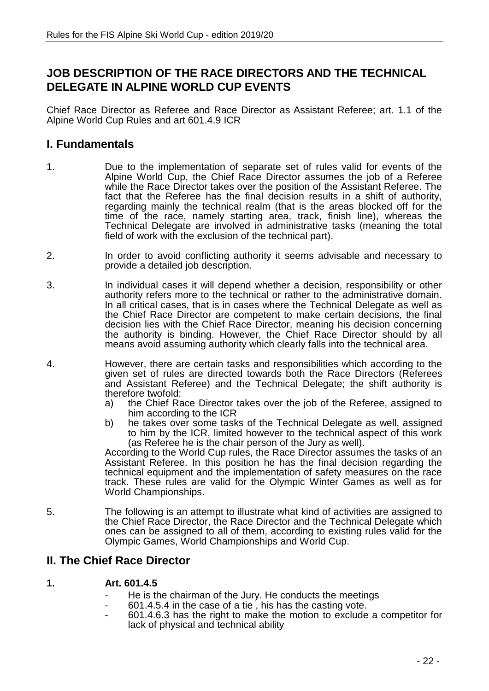# **JOB DESCRIPTION OF THE RACE DIRECTORS AND THE TECHNICAL DELEGATE IN ALPINE WORLD CUP EVENTS**

Chief Race Director as Referee and Race Director as Assistant Referee; art. 1.1 of the Alpine World Cup Rules and art 601.4.9 ICR

# **I. Fundamentals**

- 1. Due to the implementation of separate set of rules valid for events of the Alpine World Cup, the Chief Race Director assumes the job of a Referee while the Race Director takes over the position of the Assistant Referee. The fact that the Referee has the final decision results in a shift of authority, regarding mainly the technical realm (that is the areas blocked off for the time of the race, namely starting area, track, finish line), whereas the Technical Delegate are involved in administrative tasks (meaning the total field of work with the exclusion of the technical part).
- 2. In order to avoid conflicting authority it seems advisable and necessary to provide a detailed job description.
- 3. In individual cases it will depend whether a decision, responsibility or other authority refers more to the technical or rather to the administrative domain. In all critical cases, that is in cases where the Technical Delegate as well as the Chief Race Director are competent to make certain decisions, the final decision lies with the Chief Race Director, meaning his decision concerning the authority is binding. However, the Chief Race Director should by all means avoid assuming authority which clearly falls into the technical area.
- 4. However, there are certain tasks and responsibilities which according to the given set of rules are directed towards both the Race Directors (Referees and Assistant Referee) and the Technical Delegate; the shift authority is therefore twofold:
	- a) the Chief Race Director takes over the job of the Referee, assigned to him according to the ICR
	- b) he takes over some tasks of the Technical Delegate as well, assigned to him by the ICR, limited however to the technical aspect of this work (as Referee he is the chair person of the Jury as well).

According to the World Cup rules, the Race Director assumes the tasks of an Assistant Referee. In this position he has the final decision regarding the technical equipment and the implementation of safety measures on the race track. These rules are valid for the Olympic Winter Games as well as for World Championships.

5. The following is an attempt to illustrate what kind of activities are assigned to the Chief Race Director, the Race Director and the Technical Delegate which ones can be assigned to all of them, according to existing rules valid for the Olympic Games, World Championships and World Cup.

# **II. The Chief Race Director**

### **1. Art. 601.4.5**

- He is the chairman of the Jury. He conducts the meetings
- 601.4.5.4 in the case of a tie, his has the casting vote.
- 601.4.6.3 has the right to make the motion to exclude a competitor for lack of physical and technical ability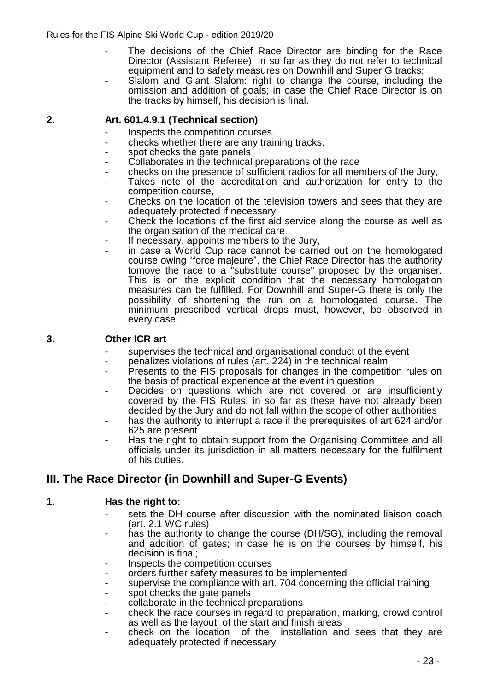- The decisions of the Chief Race Director are binding for the Race Director (Assistant Referee), in so far as they do not refer to technical equipment and to safety measures on Downhill and Super G tracks;
- Slalom and Giant Slalom: right to change the course, including the omission and addition of goals; in case the Chief Race Director is on the tracks by himself, his decision is final.

### **2. Art. 601.4.9.1 (Technical section)**

- Inspects the competition courses.
- checks whether there are any training tracks,
- spot checks the gate panels
- Collaborates in the technical preparations of the race
- checks on the presence of sufficient radios for all members of the Jury,
- Takes note of the accreditation and authorization for entry to the competition course,
- Checks on the location of the television towers and sees that they are adequately protected if necessary
- Check the locations of the first aid service along the course as well as the organisation of the medical care.
- If necessary, appoints members to the Jury,
- in case a World Cup race cannot be carried out on the homologated course owing "force majeure", the Chief Race Director has the authority tomove the race to a "substitute course" proposed by the organiser. This is on the explicit condition that the necessary homologation measures can be fulfilled. For Downhill and Super-G there is only the possibility of shortening the run on a homologated course. The minimum prescribed vertical drops must, however, be observed in every case.

### **3. Other ICR art**

- supervises the technical and organisational conduct of the event
- penalizes violations of rules (art. 224) in the technical realm
- Presents to the FIS proposals for changes in the competition rules on the basis of practical experience at the event in question
- Decides on questions which are not covered or are insufficiently covered by the FIS Rules, in so far as these have not already been decided by the Jury and do not fall within the scope of other authorities
- has the authority to interrupt a race if the prerequisites of art 624 and/or 625 are present
- Has the right to obtain support from the Organising Committee and all officials under its jurisdiction in all matters necessary for the fulfilment of his duties.

# **III. The Race Director (in Downhill and Super-G Events)**

### **1. Has the right to:**

- sets the DH course after discussion with the nominated liaison coach (art. 2.1 WC rules)
- has the authority to change the course (DH/SG), including the removal and addition of gates; in case he is on the courses by himself, his decision is final;
- Inspects the competition courses
- orders further safety measures to be implemented
- supervise the compliance with art. 704 concerning the official training
- spot checks the gate panels
- collaborate in the technical preparations
- check the race courses in regard to preparation, marking, crowd control as well as the layout of the start and finish areas
- check on the location of the installation and sees that they are adequately protected if necessary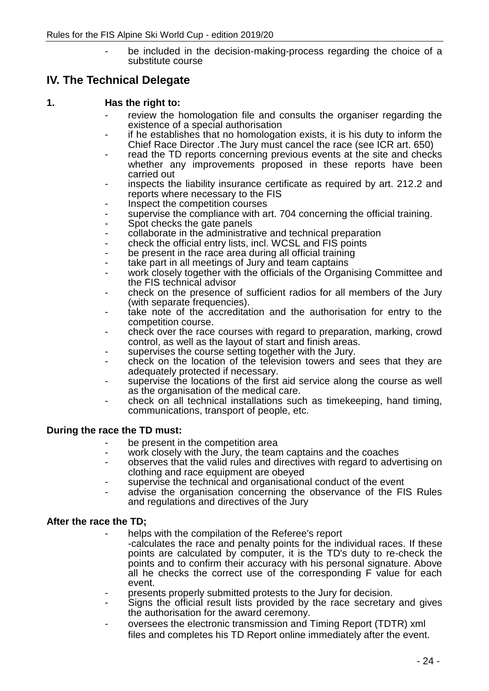be included in the decision-making-process regarding the choice of a substitute course

# **IV. The Technical Delegate**

### **1. Has the right to:**

- review the homologation file and consults the organiser regarding the existence of a special authorisation
- if he establishes that no homologation exists, it is his duty to inform the Chief Race Director .The Jury must cancel the race (see ICR art. 650)
- read the TD reports concerning previous events at the site and checks whether any improvements proposed in these reports have been carried out
- inspects the liability insurance certificate as required by art. 212.2 and reports where necessary to the FIS
- Inspect the competition courses
- supervise the compliance with art. 704 concerning the official training.
- Spot checks the gate panels
- collaborate in the administrative and technical preparation
- check the official entry lists, incl. WCSL and FIS points
- be present in the race area during all official training
- take part in all meetings of Jury and team captains
- work closely together with the officials of the Organising Committee and the FIS technical advisor
- check on the presence of sufficient radios for all members of the Jury (with separate frequencies).
- take note of the accreditation and the authorisation for entry to the competition course.
- check over the race courses with regard to preparation, marking, crowd control, as well as the layout of start and finish areas.
- supervises the course setting together with the Jury.
- check on the location of the television towers and sees that they are adequately protected if necessary.
- supervise the locations of the first aid service along the course as well as the organisation of the medical care.
- check on all technical installations such as timekeeping, hand timing, communications, transport of people, etc.

### **During the race the TD must:**

- be present in the competition area
- work closely with the Jury, the team captains and the coaches
- observes that the valid rules and directives with regard to advertising on clothing and race equipment are obeyed
- supervise the technical and organisational conduct of the event
- advise the organisation concerning the observance of the FIS Rules and regulations and directives of the Jury

### **After the race the TD;**

- helps with the compilation of the Referee's report
	- -calculates the race and penalty points for the individual races. If these points are calculated by computer, it is the TD's duty to re-check the points and to confirm their accuracy with his personal signature. Above all he checks the correct use of the corresponding F value for each event.
- presents properly submitted protests to the Jury for decision.
- Signs the official result lists provided by the race secretary and gives the authorisation for the award ceremony.
- oversees the electronic transmission and Timing Report (TDTR) xml files and completes his TD Report online immediately after the event.